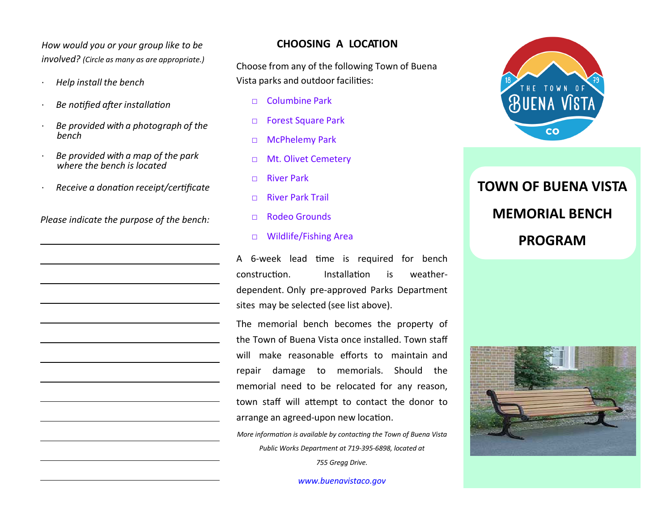*How would you or your group like to be involved? (Circle as many as are appropriate.)*

- *Help install the bench*
- *Be notified after installation*
- *Be provided with a photograph of the bench*
- *Be provided with a map of the park where the bench is located*
- *Receive a donaƟon receipt/cerƟficate*

*Please indicate the purpose of the bench:* 

## **CHOOSING A LOCATION**

Choose from any of the following Town of Buena Vista parks and outdoor facilities:

- □ Columbine Park
- □ Forest Square Park
- □ McPhelemy Park
- □ Mt. Olivet Cemetery
- □ River Park
- □ River Park Trail
- □ Rodeo Grounds
- □ Wildlife/Fishing Area

A 6-week lead time is required for bench construcƟon.**Installation**  is weather‐ dependent. Only pre‐approved Parks Department sites may be selected (see list above).

The memorial bench becomes the property of the Town of Buena Vista once installed. Town staff will make reasonable <sup>e</sup>fforts to maintain and repair damage to memorials. Should the memorial need to be relocated for any reason, town staff will attempt to contact the donor to arrange an agreed-upon new location.

*More information is available by contacting the Town of Buena Vista Public Works Department at 719‐395‐6898, located at 755 Gregg Drive.* 

*www.buenavistaco.gov*



**TOWN OF BUENA VISTA MEMORIAL BENCH PROGRAM**